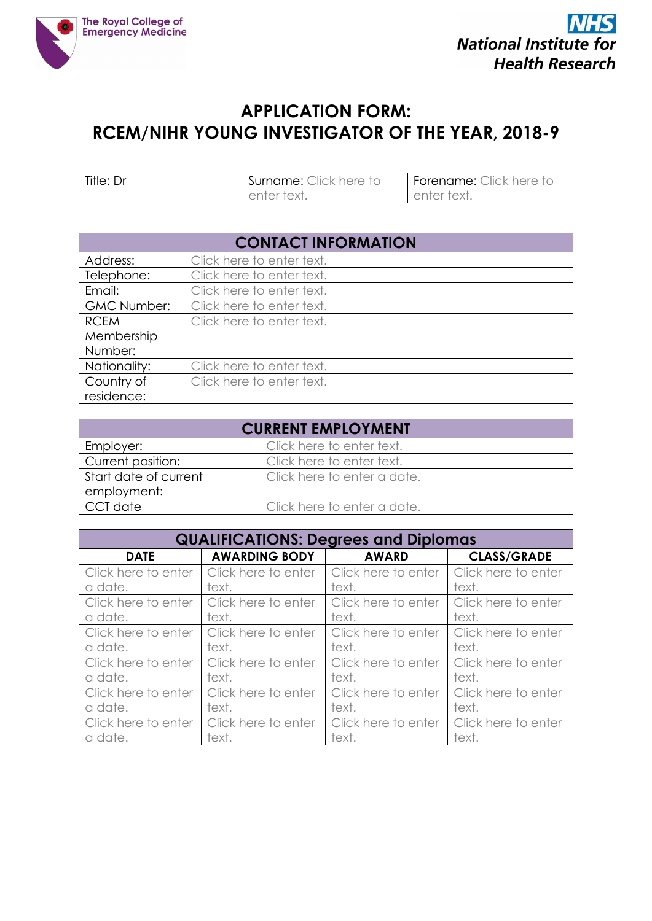

# **APPLICATION FORM: RCEM/NIHR YOUNG INVESTIGATOR OF THE YEAR, 2018-9**

| Title: Dr | Surname: Click here to | <b>  Forename:</b> Click here to |
|-----------|------------------------|----------------------------------|
|           | Lenter text.           | enter text.                      |

| <b>CONTACT INFORMATION</b> |                           |  |
|----------------------------|---------------------------|--|
| Address:                   | Click here to enter text. |  |
| Telephone:                 | Click here to enter text. |  |
| Email:                     | Click here to enter text. |  |
| <b>GMC Number:</b>         | Click here to enter text. |  |
| <b>RCEM</b>                | Click here to enter text. |  |
| Membership                 |                           |  |
| Number:                    |                           |  |
| Nationality:               | Click here to enter text. |  |
| Country of                 | Click here to enter text. |  |
| residence:                 |                           |  |

| <b>CURRENT EMPLOYMENT</b> |                             |  |  |
|---------------------------|-----------------------------|--|--|
| Employer:                 | Click here to enter text.   |  |  |
| Current position:         | Click here to enter text.   |  |  |
| Start date of current     | Click here to enter a date. |  |  |
| employment:               |                             |  |  |
| CCT date                  | Click here to enter a date. |  |  |

| <b>QUALIFICATIONS: Degrees and Diplomas</b> |                      |                     |                     |  |  |
|---------------------------------------------|----------------------|---------------------|---------------------|--|--|
| <b>DATE</b>                                 | <b>AWARDING BODY</b> | <b>AWARD</b>        | <b>CLASS/GRADE</b>  |  |  |
| Click here to enter                         | Click here to enter  | Click here to enter | Click here to enter |  |  |
| a date.                                     | text.                | text.               | text.               |  |  |
| Click here to enter                         | Click here to enter  | Click here to enter | Click here to enter |  |  |
| a date.                                     | text.                | text.               | text.               |  |  |
| Click here to enter                         | Click here to enter  | Click here to enter | Click here to enter |  |  |
| a date.                                     | text.                | text.               | text.               |  |  |
| Click here to enter                         | Click here to enter  | Click here to enter | Click here to enter |  |  |
| a date.                                     | text.                | text.               | text.               |  |  |
| Click here to enter                         | Click here to enter  | Click here to enter | Click here to enter |  |  |
| a date.                                     | text.                | text.               | text.               |  |  |
| Click here to enter                         | Click here to enter  | Click here to enter | Click here to enter |  |  |
| a date.                                     | text.                | text.               | text.               |  |  |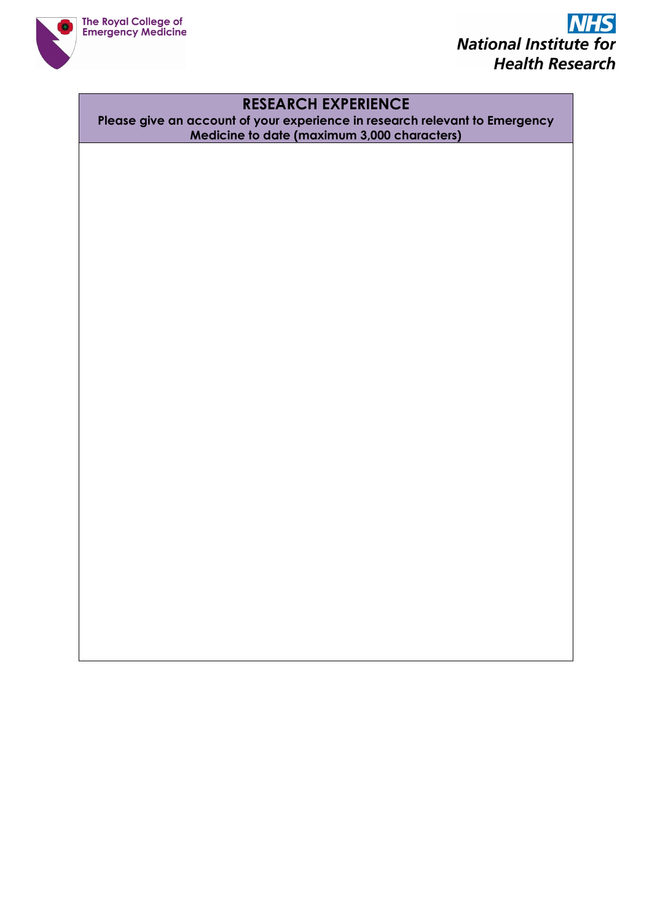



### **RESEARCH EXPERIENCE**

**Please give an account of your experience in research relevant to Emergency Medicine to date (maximum 3,000 characters)**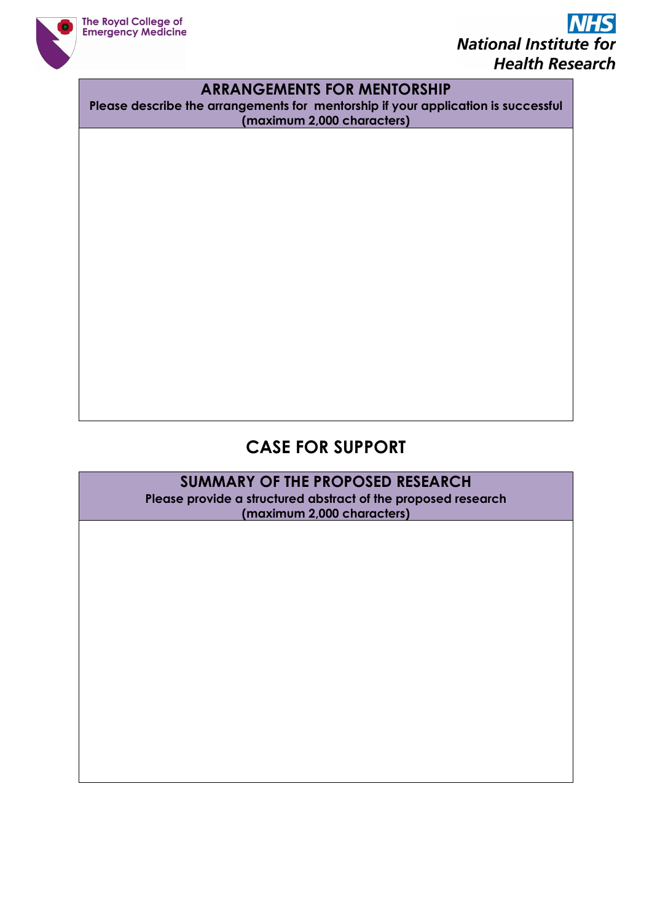

### **ARRANGEMENTS FOR MENTORSHIP**

**Please describe the arrangements for mentorship if your application is successful (maximum 2,000 characters)**

# **CASE FOR SUPPORT**

#### **SUMMARY OF THE PROPOSED RESEARCH Please provide a structured abstract of the proposed research (maximum 2,000 characters)**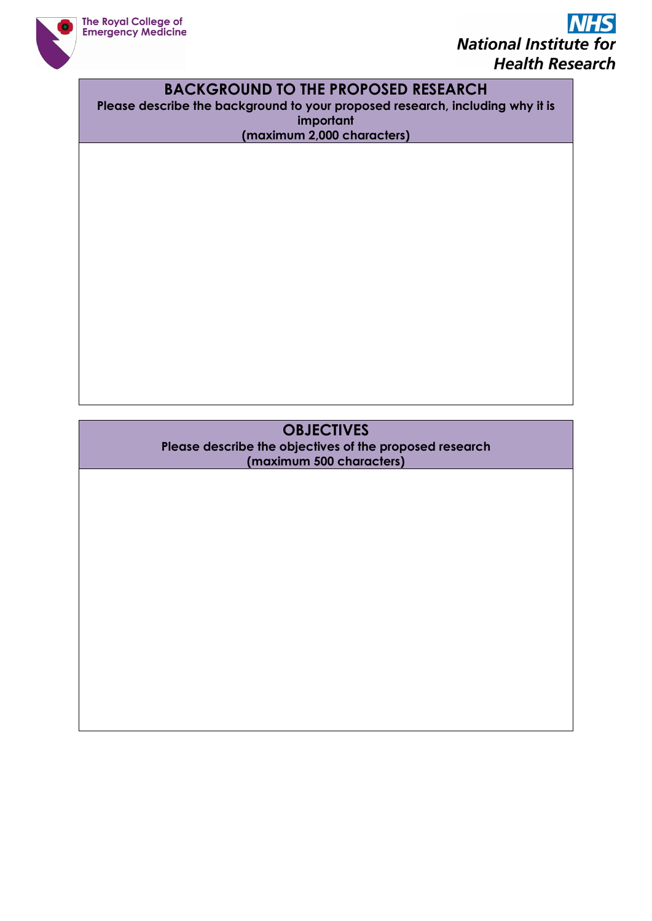

# **BACKGROUND TO THE PROPOSED RESEARCH**

**Please describe the background to your proposed research, including why it is important (maximum 2,000 characters)**

## **OBJECTIVES**

**Please describe the objectives of the proposed research (maximum 500 characters)**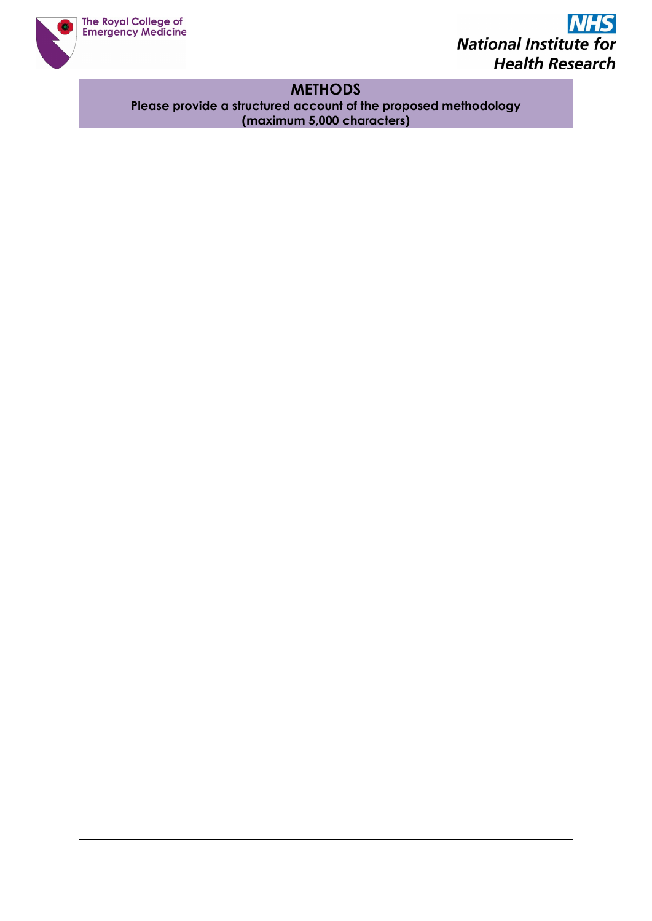

## **METHODS**

**Please provide a structured account of the proposed methodology (maximum 5,000 characters)**